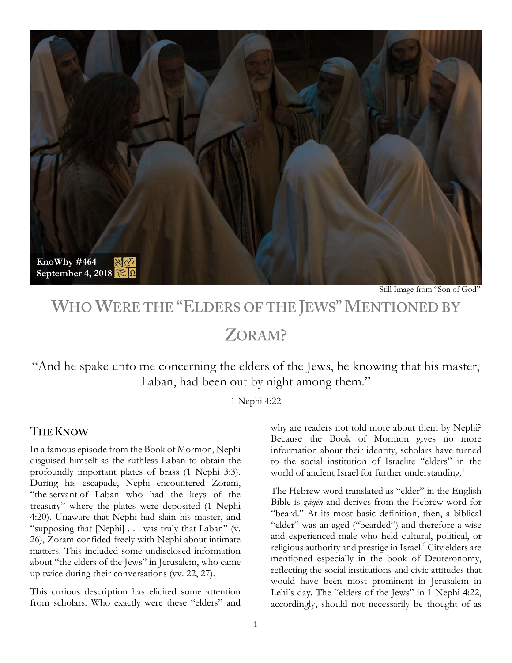

Still Image from "Son of God"

# WHO WERE THE "ELDERS OF THE JEWS" MENTIONED BY

## ZORAM?

"And he spake unto me concerning the elders of the Jews, he knowing that his master, Laban, had been out by night among them."

1 Nephi 4:22

### **THE KNOW**

In a famous episode from the Book of Mormon, Nephi disguised himself as the ruthless Laban to obtain the profoundly important plates of brass (1 Nephi 3:3). During his escapade, Nephi encountered Zoram, "the servant of Laban who had the keys of the treasury" where the plates were deposited (1 Nephi 4:20). Unaware that Nephi had slain his master, and "supposing that [Nephi] . . . was truly that Laban" (v. 26), Zoram confided freely with Nephi about intimate matters. This included some undisclosed information about "the elders of the Jews" in Jerusalem, who came up twice during their conversations (vv. 22, 27).

This curious description has elicited some attention from scholars. Who exactly were these "elders" and why are readers not told more about them by Nephi? Because the Book of Mormon gives no more information about their identity, scholars have turned to the social institution of Israelite "elders" in the world of ancient Israel for further understanding.<sup>1</sup>

The Hebrew word translated as "elder" in the English Bible is *zāqēn* and derives from the Hebrew word for "beard." At its most basic definition, then, a biblical "elder" was an aged ("bearded") and therefore a wise and experienced male who held cultural, political, or religious authority and prestige in Israel.<sup>2</sup> City elders are mentioned especially in the book of Deuteronomy, reflecting the social institutions and civic attitudes that would have been most prominent in Jerusalem in Lehi's day. The "elders of the Jews" in 1 Nephi 4:22, accordingly, should not necessarily be thought of as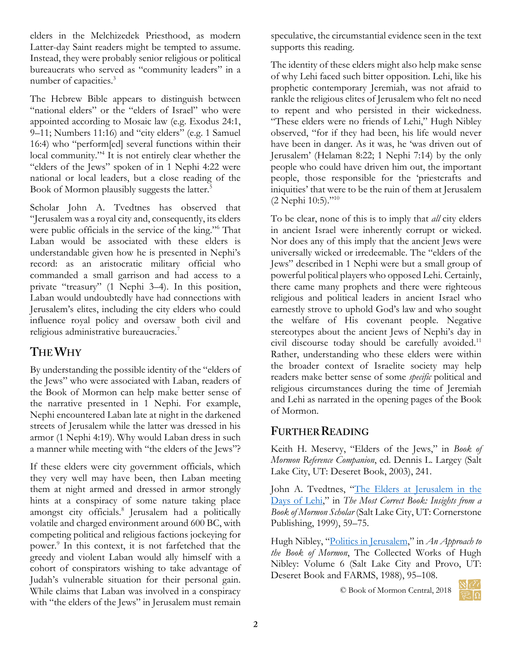elders in the Melchizedek Priesthood, as modern Latter-day Saint readers might be tempted to assume. Instead, they were probably senior religious or political bureaucrats who served as "community leaders" in a number of capacities.<sup>3</sup>

The Hebrew Bible appears to distinguish between "national elders" or the "elders of Israel" who were appointed according to Mosaic law (e.g. Exodus 24:1,  $9-11$ ; Numbers 11:16) and "city elders" (e.g. 1 Samuel 16:4) who "perform[ed] several functions within their local community."<sup>4</sup> It is not entirely clear whether the "elders of the Jews" spoken of in 1 Nephi 4:22 were national or local leaders, but a close reading of the Book of Mormon plausibly suggests the latter.<sup>5</sup>

Scholar John A. Tvedtnes has observed that "Jerusalem was a royal city and, consequently, its elders were public officials in the service of the king."<sup>6</sup> That Laban would be associated with these elders is understandable given how he is presented in Nephi's record: as an aristocratic military official who commanded a small garrison and had access to a private "treasury" (1 Nephi 3–4). In this position, Laban would undoubtedly have had connections with Jerusalem's elites, including the city elders who could influence royal policy and oversaw both civil and religious administrative bureaucracies.<sup>7</sup>

## THE WHY

By understanding the possible identity of the "elders of the Jews" who were associated with Laban, readers of the Book of Mormon can help make better sense of the narrative presented in 1 Nephi. For example, Nephi encountered Laban late at night in the darkened streets of Jerusalem while the latter was dressed in his armor (1 Nephi 4:19). Why would Laban dress in such a manner while meeting with "the elders of the Jews"?

If these elders were city government officials, which they very well may have been, then Laban meeting them at night armed and dressed in armor strongly hints at a conspiracy of some nature taking place amongst city officials.<sup>8</sup> Jerusalem had a politically volatile and charged environment around 600 BC, with competing political and religious factions jockeying for power.<sup>9</sup> In this context, it is not farfetched that the greedy and violent Laban would ally himself with a cohort of conspirators wishing to take advantage of Judah's vulnerable situation for their personal gain. While claims that Laban was involved in a conspiracy with "the elders of the Jews" in Jerusalem must remain speculative, the circumstantial evidence seen in the text supports this reading.

The identity of these elders might also help make sense of why Lehi faced such bitter opposition. Lehi, like his prophetic contemporary Jeremiah, was not afraid to rankle the religious elites of Jerusalem who felt no need to repent and who persisted in their wickedness. "These elders were no friends of Lehi," Hugh Nibley observed, "for if they had been, his life would never have been in danger. As it was, he 'was driven out of Jerusalem' (Helaman 8:22; 1 Nephi 7:14) by the only people who could have driven him out, the important people, those responsible for the 'priestcrafts and iniquities' that were to be the ruin of them at Jerusalem (2 Nephi 10:5)."<sup>10</sup>

To be clear, none of this is to imply that *all* city elders in ancient Israel were inherently corrupt or wicked. Nor does any of this imply that the ancient Jews were universally wicked or irredeemable. The "elders of the Jews" described in 1 Nephi were but a small group of powerful political players who opposed Lehi. Certainly, there came many prophets and there were righteous religious and political leaders in ancient Israel who earnestly strove to uphold God's law and who sought the welfare of His covenant people. Negative stereotypes about the ancient Jews of Nephi's day in civil discourse today should be carefully avoided.<sup>11</sup> Rather, understanding who these elders were within the broader context of Israelite society may help readers make better sense of some *specific* political and religious circumstances during the time of Jeremiah and Lehi as narrated in the opening pages of the Book of Mormon.

## **FURTHER READING**

Keith H. Meservy, "Elders of the Jews," in *Book of Mormon Reference Companion*, ed. Dennis L. Largey (Salt Lake City, UT: Deseret Book, 2003), 241.

John A. Tvedtnes, "[The Elders at Jerusalem in the](https://archive.bookofmormoncentral.org/content/elders-jerusalem-days-lehi)  [Days of Lehi](https://archive.bookofmormoncentral.org/content/elders-jerusalem-days-lehi)," in *The Most Correct Book: Insights from a Book of Mormon Scholar* (Salt Lake City, UT: Cornerstone Publishing, 1999), 59–75.

Hugh Nibley, "[Politics in Jerusalem](https://publications.mi.byu.edu/fullscreen/?pub=1107&index=11)," in *An Approach to the Book of Mormon*, The Collected Works of Hugh Nibley: Volume 6 (Salt Lake City and Provo, UT: Deseret Book and FARMS, 1988), 95–108.

© Book of Mormon Central, 2018